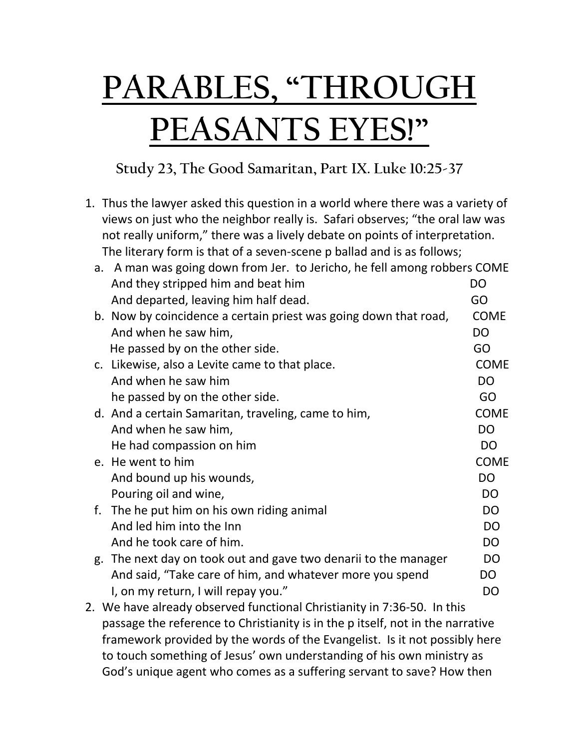## **PARABLES, "THROUGH PEASANTS EYES!"**

**Study 23, The Good Samaritan, Part IX. Luke 10:25-37**

1. Thus the lawyer asked this question in a world where there was a variety of views on just who the neighbor really is. Safari observes; "the oral law was not really uniform," there was a lively debate on points of interpretation. The literary form is that of a seven-scene p ballad and is as follows;

|  | a. A man was going down from Jer. to Jericho, he fell among robbers COME       |                |
|--|--------------------------------------------------------------------------------|----------------|
|  | And they stripped him and beat him                                             | DO             |
|  | And departed, leaving him half dead.                                           | GO             |
|  | b. Now by coincidence a certain priest was going down that road,               | <b>COME</b>    |
|  | And when he saw him,                                                           | <b>DO</b>      |
|  | He passed by on the other side.                                                | GO             |
|  | c. Likewise, also a Levite came to that place.                                 | <b>COME</b>    |
|  | And when he saw him                                                            | <b>DO</b>      |
|  | he passed by on the other side.                                                | GO             |
|  | d. And a certain Samaritan, traveling, came to him,                            | <b>COME</b>    |
|  | And when he saw him,                                                           | <b>DO</b>      |
|  | He had compassion on him                                                       | D <sub>O</sub> |
|  | e. He went to him                                                              | <b>COME</b>    |
|  | And bound up his wounds,                                                       | <b>DO</b>      |
|  | Pouring oil and wine,                                                          | <b>DO</b>      |
|  | f. The he put him on his own riding animal                                     | D <sub>O</sub> |
|  | And led him into the Inn                                                       | D <sub>O</sub> |
|  | And he took care of him.                                                       | <b>DO</b>      |
|  | g. The next day on took out and gave two denarii to the manager                | <b>DO</b>      |
|  | And said, "Take care of him, and whatever more you spend                       | <b>DO</b>      |
|  | I, on my return, I will repay you."                                            | D <sub>O</sub> |
|  | 2. We have already observed functional Christianity in 7:36-50. In this        |                |
|  | passage the reference to Christianity is in the p itself, not in the narrative |                |
|  | framework provided by the words of the Evangelist. Is it not possibly here     |                |

to touch something of Jesus' own understanding of his own ministry as God's unique agent who comes as a suffering servant to save? How then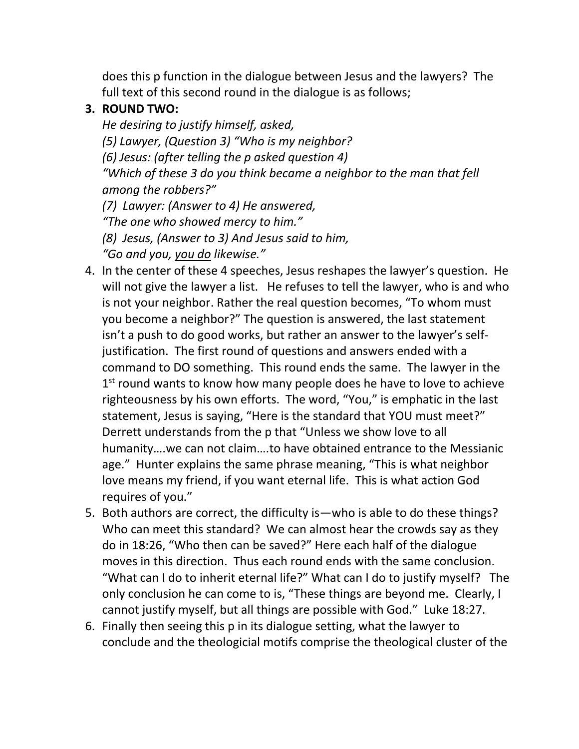does this p function in the dialogue between Jesus and the lawyers? The full text of this second round in the dialogue is as follows;

## **3. ROUND TWO:**

*He desiring to justify himself, asked, (5) Lawyer, (Question 3) "Who is my neighbor? (6) Jesus: (after telling the p asked question 4) "Which of these 3 do you think became a neighbor to the man that fell among the robbers?" (7) Lawyer: (Answer to 4) He answered, "The one who showed mercy to him."*

*(8) Jesus, (Answer to 3) And Jesus said to him,*

*"Go and you, you do likewise."* 

- 4. In the center of these 4 speeches, Jesus reshapes the lawyer's question. He will not give the lawyer a list. He refuses to tell the lawyer, who is and who is not your neighbor. Rather the real question becomes, "To whom must you become a neighbor?" The question is answered, the last statement isn't a push to do good works, but rather an answer to the lawyer's selfjustification. The first round of questions and answers ended with a command to DO something. This round ends the same. The lawyer in the 1<sup>st</sup> round wants to know how many people does he have to love to achieve righteousness by his own efforts. The word, "You," is emphatic in the last statement, Jesus is saying, "Here is the standard that YOU must meet?" Derrett understands from the p that "Unless we show love to all humanity….we can not claim….to have obtained entrance to the Messianic age." Hunter explains the same phrase meaning, "This is what neighbor love means my friend, if you want eternal life. This is what action God requires of you."
- 5. Both authors are correct, the difficulty is—who is able to do these things? Who can meet this standard? We can almost hear the crowds say as they do in 18:26, "Who then can be saved?" Here each half of the dialogue moves in this direction. Thus each round ends with the same conclusion. "What can I do to inherit eternal life?" What can I do to justify myself? The only conclusion he can come to is, "These things are beyond me. Clearly, I cannot justify myself, but all things are possible with God." Luke 18:27.
- 6. Finally then seeing this p in its dialogue setting, what the lawyer to conclude and the theologicial motifs comprise the theological cluster of the